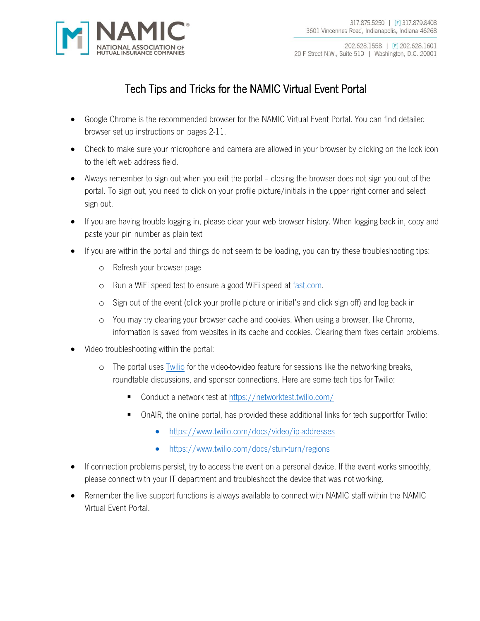

### Tech Tips and Tricks for the NAMIC Virtual Event Portal

- Google Chrome is the recommended browser for the NAMIC Virtual Event Portal. You can find detailed browser set up instructions on pages 2-11.
- Check to make sure your microphone and camera are allowed in your browser by clicking on the lock icon to the left web address field.
- Always remember to sign out when you exit the portal closing the browser does not sign you out of the portal. To sign out, you need to click on your profile picture/initials in the upper right corner and select sign out.
- If you are having trouble logging in, please clear your web browser history. When logging back in, copy and paste your pin number as plain text
- If you are within the portal and things do not seem to be loading, you can try these troubleshooting tips:
	- o Refresh your browser page
	- o Run a WiFi speed test to ensure a good WiFi speed at [fast.com.](https://fast.com/)
	- o Sign out of the event (click your profile picture or initial's and click sign off) and log back in
	- o You may try clearing your browser cache and cookies. When using a browser, like Chrome, information is saved from websites in its cache and cookies. Clearing them fixes certain problems.
- Video troubleshooting within the portal:
	- o The portal uses T[wilio for](https://www.twilio.com/) the video-to-video feature for sessions like the networking breaks, roundtable discussions, and sponsor connections. Here are some tech tips for Twilio:
		- Conduct a network test at<https://networktest.twilio.com/>
		- OnAIR, the online portal, has provided these additional links for tech support for Twilio:
			- <https://www.twilio.com/docs/video/ip-addresses>
			- <https://www.twilio.com/docs/stun-turn/regions>
- If connection problems persist, try to access the event on a personal device. If the event works smoothly, please connect with your IT department and troubleshoot the device that was not working.
- Remember the live support functions is always available to connect with NAMIC staff within the NAMIC Virtual Event Portal.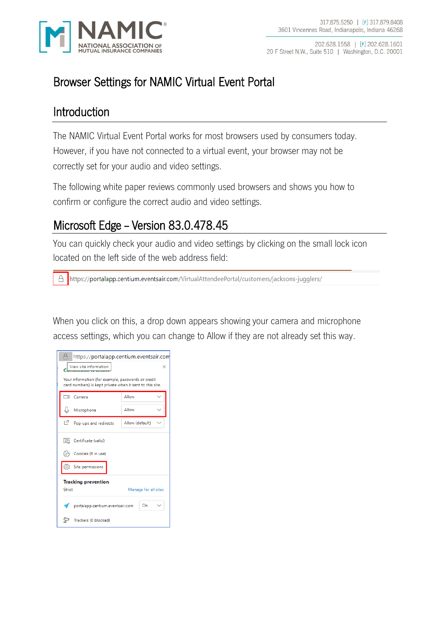

# Browser Settings for NAMIC Virtual Event Portal

### Introduction

The NAMIC Virtual Event Portal works for most browsers used by consumers today. However, if you have not connected to a virtual event, your browser may not be correctly set for your audio and video settings.

The following white paper reviews commonly used browsers and shows you how to confirm or configure the correct audio and video settings.

# Microsoft Edge – Version 83.0.478.45

You can quickly check your audio and video settings by clicking on the small lock icon located on the left side of the web address field:

A https://portalapp.centium.eventsair.com/VirtualAttendeePortal/customers/jacksons-jugglers/

When you click on this, a drop down appears showing your camera and microphone access settings, which you can change to Allow if they are not already set this way.

| https://portalapp.centium.eventsair.com<br>View site information<br>×<br>Your information (for example, passwords or credit<br>card numbers) is kept private when it sent to this site. |                                                              |                 |  |  |  |  |  |  |  |  |  |
|-----------------------------------------------------------------------------------------------------------------------------------------------------------------------------------------|--------------------------------------------------------------|-----------------|--|--|--|--|--|--|--|--|--|
|                                                                                                                                                                                         | Camera                                                       | Allow           |  |  |  |  |  |  |  |  |  |
| U                                                                                                                                                                                       | Microphone                                                   | Allow           |  |  |  |  |  |  |  |  |  |
| г7                                                                                                                                                                                      | Pop-ups and redirects                                        | Allow (default) |  |  |  |  |  |  |  |  |  |
| $\equiv$                                                                                                                                                                                | Certificate (valid)                                          |                 |  |  |  |  |  |  |  |  |  |
|                                                                                                                                                                                         | (S Cookies (9 in use)                                        |                 |  |  |  |  |  |  |  |  |  |
| 503                                                                                                                                                                                     | Site permissions                                             |                 |  |  |  |  |  |  |  |  |  |
|                                                                                                                                                                                         | <b>Tracking prevention</b><br>Strict<br>Manage for all sites |                 |  |  |  |  |  |  |  |  |  |
|                                                                                                                                                                                         | portalapp.centium.eventsair.com                              | On              |  |  |  |  |  |  |  |  |  |
|                                                                                                                                                                                         | Trackers (0 blocked)                                         |                 |  |  |  |  |  |  |  |  |  |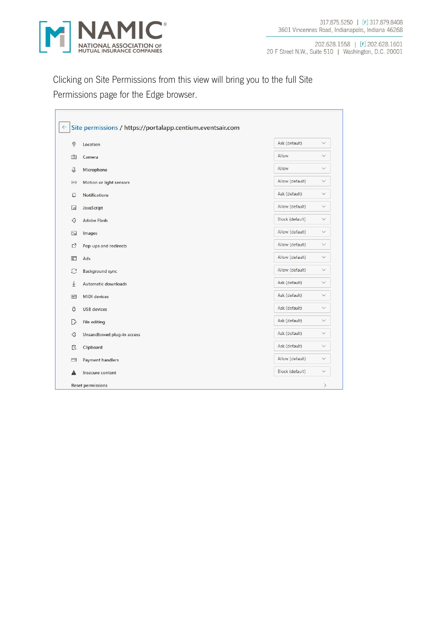

Clicking on Site Permissions from this view will bring you to the full Site Permissions page for the Edge browser.

| 0     | Location                   | Ask (default)<br>$\checkmark$   |
|-------|----------------------------|---------------------------------|
| Гб    | Camera                     | Allow<br>$\checkmark$           |
| Q     | Microphone                 | $\checkmark$<br>Allow           |
| ((o)) | Motion or light sensors    | Allow (default)<br>$\checkmark$ |
| Q     | <b>Notifications</b>       | Ask (default)<br>$\checkmark$   |
| JS    | JavaScript                 | Allow (default)<br>$\checkmark$ |
| ∢     | Adobe Flash                | Block (default)<br>$\checkmark$ |
| Z     | Images                     | Allow (default)<br>$\checkmark$ |
| ₫     | Pop-ups and redirects      | Allow (default)<br>$\checkmark$ |
| 同     | Ads                        | Allow (default)<br>$\checkmark$ |
| Э     | <b>Background sync</b>     | Allow (default)<br>$\checkmark$ |
| 业     | Automatic downloads        | Ask (default)<br>$\checkmark$   |
| ₩     | <b>MIDI</b> devices        | Ask (default)<br>$\checkmark$   |
| ₿     | <b>USB</b> devices         | $\checkmark$<br>Ask (default)   |
| D     | File editing               | Ask (default)<br>$\checkmark$   |
| €     | Unsandboxed plug-in access | Ask (default)<br>$\checkmark$   |
| 靠     | Clipboard                  | Ask (default)<br>$\checkmark$   |
| ⊟     | Payment handlers           | Allow (default)<br>$\checkmark$ |
| ◭     | Insecure content           | Block (default)<br>$\checkmark$ |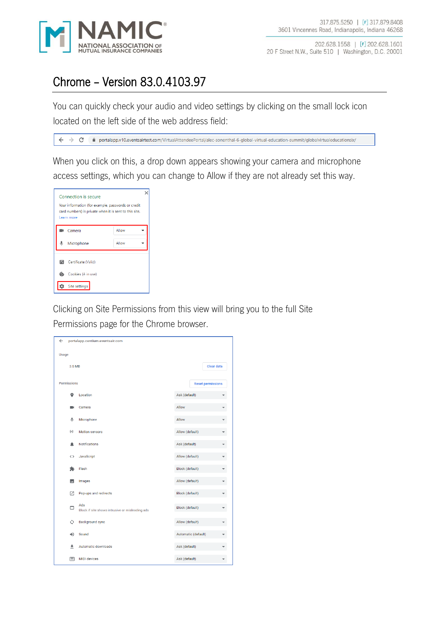

# Chrome – Version 83.0.4103.97

You can quickly check your audio and video settings by clicking on the small lock icon located on the left side of the web address field:

 $\leftarrow$  $\rightarrow$  $C$   $\bullet$  portalapp.v10.eventsairtest.com/VirtualAttendeePortal/alec-sonenthal-6-global-virtual-education-summit/globalvirtualeducationsix/

When you click on this, a drop down appears showing your camera and microphone access settings, which you can change to Allow if they are not already set this way.



Clicking on Site Permissions from this view will bring you to the full Site Permissions page for the Chrome browser.

| $\leftarrow$         | portalapp.centium.eventsair.com                        |                        |                          |  |  |  |  |  |  |
|----------------------|--------------------------------------------------------|------------------------|--------------------------|--|--|--|--|--|--|
| Usage                |                                                        |                        |                          |  |  |  |  |  |  |
| 3.5 MB               | <b>Clear data</b>                                      |                        |                          |  |  |  |  |  |  |
| <b>Permissions</b>   |                                                        |                        | <b>Reset permissions</b> |  |  |  |  |  |  |
| a                    | Location                                               | Ask (default)          |                          |  |  |  |  |  |  |
|                      | Camera                                                 | Allow                  |                          |  |  |  |  |  |  |
| $\pmb{\mathbb{J}}$   | Microphone                                             | Allow                  |                          |  |  |  |  |  |  |
| $(\cdot)$            | <b>Motion sensors</b>                                  | Allow (default)        |                          |  |  |  |  |  |  |
|                      | <b>Notifications</b>                                   | Ask (default)          |                          |  |  |  |  |  |  |
| $\leftrightarrow$    | JavaScript                                             | Allow (default)        |                          |  |  |  |  |  |  |
|                      | Flash                                                  | <b>Block (default)</b> |                          |  |  |  |  |  |  |
| ш                    | Images                                                 | Allow (default)        |                          |  |  |  |  |  |  |
| 7                    | Pop-ups and redirects                                  | <b>Block (default)</b> |                          |  |  |  |  |  |  |
| −                    | Ads<br>Block if site shows intrusive or misleading ads | <b>Block (default)</b> |                          |  |  |  |  |  |  |
| ڽ                    | Background sync                                        | Allow (default)        |                          |  |  |  |  |  |  |
| 响)                   | Sound                                                  |                        | Automatic (default)      |  |  |  |  |  |  |
| $\ddot{\phantom{0}}$ | Automatic downloads                                    | Ask (default)          |                          |  |  |  |  |  |  |
| m                    | <b>MIDI</b> devices                                    | Ask (default)          |                          |  |  |  |  |  |  |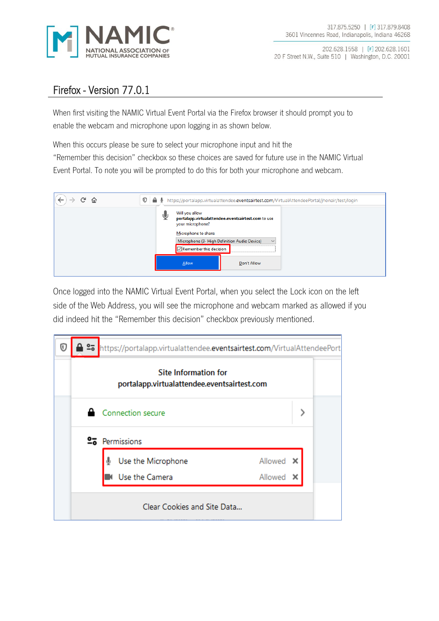

#### Firefox - Version 77.0.1

When first visiting the NAMIC Virtual Event Portal via the Firefox browser it should prompt you to enable the webcam and microphone upon logging in as shown below.

When this occurs please be sure to select your microphone input and hit the "Remember this decision" checkbox so these choices are saved for future use in the NAMIC Virtual Event Portal. To note you will be prompted to do this for both your microphone and webcam.



Once logged into the NAMIC Virtual Event Portal, when you select the Lock icon on the left side of the Web Address, you will see the microphone and webcam marked as allowed if you did indeed hit the "Remember this decision" checkbox previously mentioned.

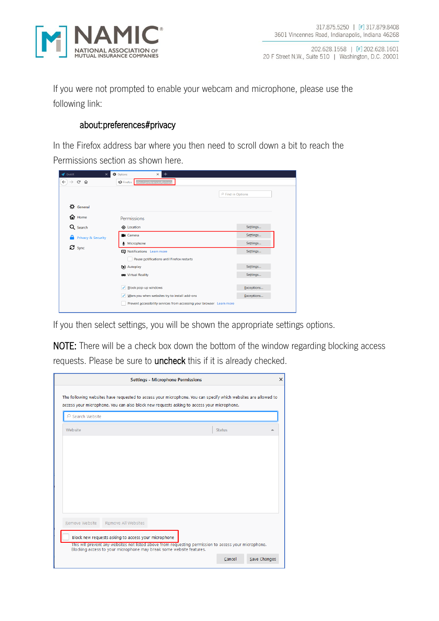

If you were not prompted to enable your webcam and microphone, please use the following link:

#### about:preferences#privacy

In the Firefox address bar where you then need to scroll down a bit to reach the Permissions section as shown here.



If you then select settings, you will be shown the appropriate settings options.

NOTE: There will be a check box down the bottom of the window regarding blocking access requests. Please be sure to uncheck this if it is already checked.

|         | $\circ$ Search Website |               |  |
|---------|------------------------|---------------|--|
| Website |                        | <b>Status</b> |  |
|         |                        |               |  |
|         |                        |               |  |
|         |                        |               |  |
|         |                        |               |  |
|         |                        |               |  |
|         |                        |               |  |
|         |                        |               |  |
|         |                        |               |  |
|         |                        |               |  |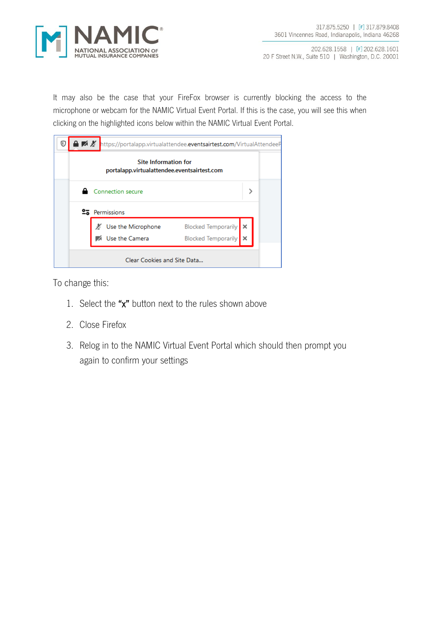

It may also be the case that your FireFox browser is currently blocking the access to the microphone or webcam for the NAMIC Virtual Event Portal. If this is the case, you will see this when clicking on the highlighted icons below within the NAMIC Virtual Event Portal.

| ω | A X https://portalapp.virtualattendee.eventsairtest.com/VirtualAttendeeP    |  |  |  |  |  |  |  |  |  |  |  |  |  |
|---|-----------------------------------------------------------------------------|--|--|--|--|--|--|--|--|--|--|--|--|--|
|   | Site Information for<br>portalapp.virtualattendee.eventsairtest.com         |  |  |  |  |  |  |  |  |  |  |  |  |  |
|   | Connection secure                                                           |  |  |  |  |  |  |  |  |  |  |  |  |  |
|   | ≌ -<br>Permissions                                                          |  |  |  |  |  |  |  |  |  |  |  |  |  |
|   | Use the Microphone<br>×<br><b>Blocked Temporarily</b>                       |  |  |  |  |  |  |  |  |  |  |  |  |  |
|   | Use the Camera<br><b>Blocked Temporarily</b><br>Clear Cookies and Site Data |  |  |  |  |  |  |  |  |  |  |  |  |  |

To change this:

- 1. Select the "x" button next to the rules shown above
- 2. Close Firefox
- 3. Relog in to the NAMIC Virtual Event Portal which should then prompt you again to confirm your settings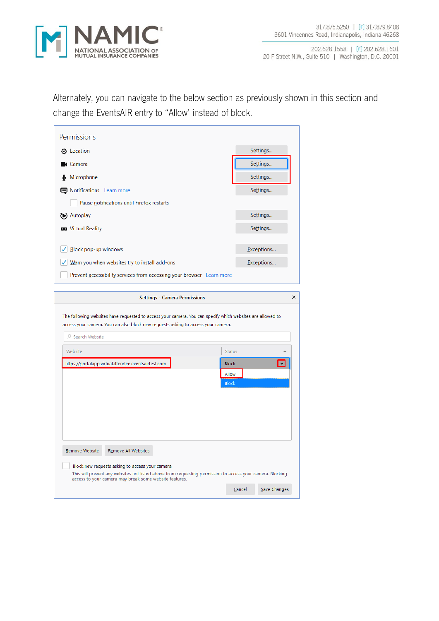

Alternately, you can navigate to the below section as previously shown in this section and change the EventsAIR entry to "Allow' instead of block.

| Permissions                                                                                                                                                          |            |  |  |  |  |  |  |  |  |
|----------------------------------------------------------------------------------------------------------------------------------------------------------------------|------------|--|--|--|--|--|--|--|--|
| <b>O</b> Location                                                                                                                                                    | Settings   |  |  |  |  |  |  |  |  |
| <b>K</b> Camera                                                                                                                                                      | Settings   |  |  |  |  |  |  |  |  |
| <b>J</b> Microphone                                                                                                                                                  | Settings   |  |  |  |  |  |  |  |  |
| □ Notifications Learn more                                                                                                                                           | Settings   |  |  |  |  |  |  |  |  |
| Pause notifications until Firefox restarts                                                                                                                           |            |  |  |  |  |  |  |  |  |
| (D) Autoplay                                                                                                                                                         | Settings   |  |  |  |  |  |  |  |  |
| <b>DO</b> Virtual Reality                                                                                                                                            | Settings   |  |  |  |  |  |  |  |  |
|                                                                                                                                                                      |            |  |  |  |  |  |  |  |  |
| Block pop-up windows                                                                                                                                                 | Exceptions |  |  |  |  |  |  |  |  |
| Warn you when websites try to install add-ons                                                                                                                        | Exceptions |  |  |  |  |  |  |  |  |
| Prevent accessibility services from accessing your browser Learn more                                                                                                |            |  |  |  |  |  |  |  |  |
|                                                                                                                                                                      | ×          |  |  |  |  |  |  |  |  |
| <b>Settings - Camera Permissions</b>                                                                                                                                 |            |  |  |  |  |  |  |  |  |
| The following websites have requested to access your camera. You can specify which websites are allowed to                                                           |            |  |  |  |  |  |  |  |  |
| access your camera. You can also block new requests asking to access your camera.                                                                                    |            |  |  |  |  |  |  |  |  |
| O Search Website                                                                                                                                                     |            |  |  |  |  |  |  |  |  |
| Website<br><b>Status</b>                                                                                                                                             |            |  |  |  |  |  |  |  |  |
| https://portalapp.virtualattendee.eventsairtest.com<br><b>Block</b>                                                                                                  |            |  |  |  |  |  |  |  |  |
| Allow                                                                                                                                                                |            |  |  |  |  |  |  |  |  |
| <b>Block</b>                                                                                                                                                         |            |  |  |  |  |  |  |  |  |
|                                                                                                                                                                      |            |  |  |  |  |  |  |  |  |
|                                                                                                                                                                      |            |  |  |  |  |  |  |  |  |
|                                                                                                                                                                      |            |  |  |  |  |  |  |  |  |
|                                                                                                                                                                      |            |  |  |  |  |  |  |  |  |
| Remove Website<br>Remove All Websites                                                                                                                                |            |  |  |  |  |  |  |  |  |
|                                                                                                                                                                      |            |  |  |  |  |  |  |  |  |
| Block new requests asking to access your camera                                                                                                                      |            |  |  |  |  |  |  |  |  |
| This will prevent any websites not listed above from requesting permission to access your camera. Blocking<br>access to your camera may break some website features. |            |  |  |  |  |  |  |  |  |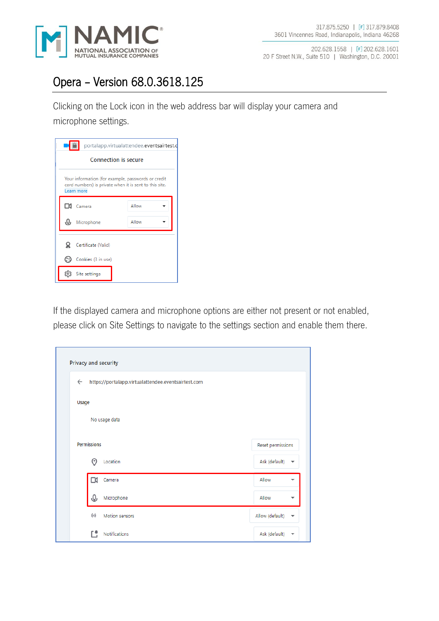

# Opera – Version 68.0.3618.125

Clicking on the Lock icon in the web address bar will display your camera and microphone settings.

|                                                                                                                            |                     | portalapp.virtualattendee.eventsairtest.c |  |  |  |  |  |  |  |  |  |
|----------------------------------------------------------------------------------------------------------------------------|---------------------|-------------------------------------------|--|--|--|--|--|--|--|--|--|
| <b>Connection is secure</b>                                                                                                |                     |                                           |  |  |  |  |  |  |  |  |  |
| Your information (for example, passwords or credit<br>card numbers) is private when it is sent to this site.<br>Learn more |                     |                                           |  |  |  |  |  |  |  |  |  |
|                                                                                                                            | Camera              | Allow                                     |  |  |  |  |  |  |  |  |  |
|                                                                                                                            | Microphone          | Allow                                     |  |  |  |  |  |  |  |  |  |
|                                                                                                                            | Certificate (Valid) |                                           |  |  |  |  |  |  |  |  |  |
| C )                                                                                                                        | Cookies (3 in use)  |                                           |  |  |  |  |  |  |  |  |  |
|                                                                                                                            | Site settings       |                                           |  |  |  |  |  |  |  |  |  |

If the displayed camera and microphone options are either not present or not enabled, please click on Site Settings to navigate to the settings section and enable them there.

| Privacy and security                                                |                                           |  |  |  |  |  |  |  |  |
|---------------------------------------------------------------------|-------------------------------------------|--|--|--|--|--|--|--|--|
| $\leftarrow$<br>https://portalapp.virtualattendee.eventsairtest.com |                                           |  |  |  |  |  |  |  |  |
| Usage                                                               |                                           |  |  |  |  |  |  |  |  |
| No usage data                                                       |                                           |  |  |  |  |  |  |  |  |
| <b>Permissions</b>                                                  | Reset permissions                         |  |  |  |  |  |  |  |  |
| Location<br>റ                                                       | Ask (default) $\blacktriangledown$        |  |  |  |  |  |  |  |  |
| Camera<br>ги                                                        | Allow<br>-                                |  |  |  |  |  |  |  |  |
| Q<br>Microphone                                                     | Allow<br>▼                                |  |  |  |  |  |  |  |  |
| $(\cdot)$<br>Motion sensors                                         | Allow (default)<br>$\overline{\mathbf v}$ |  |  |  |  |  |  |  |  |
| <b>Notifications</b>                                                | Ask (default)<br>$\overline{\phantom{a}}$ |  |  |  |  |  |  |  |  |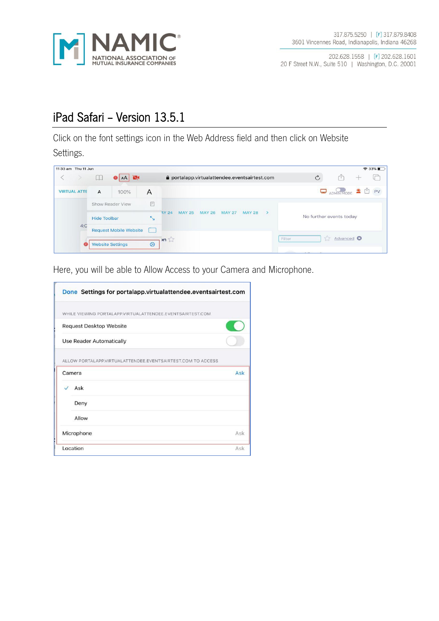

## iPad Safari – Version 13.5.1

Click on the font settings icon in the Web Address field and then click on Website

Settings.



Here, you will be able to Allow Access to your Camera and Microphone.

| Done Settings for portalapp.virtualattendee.eventsairtest.com |     |
|---------------------------------------------------------------|-----|
| WHILE VIEWING PORTALAPP VIRTUALATTENDEE.EVENTSAIRTEST.COM     |     |
| <b>Request Desktop Website</b>                                |     |
| <b>Use Reader Automatically</b>                               |     |
| ALLOW PORTALAPP.VIRTUALATTENDEE.EVENTSAIRTEST.COM TO ACCESS   |     |
| Camera                                                        | Ask |
| $\vee$ Ask                                                    |     |
| Deny                                                          |     |
| Allow                                                         |     |
| Microphone                                                    | Ask |
| Location                                                      | Ask |